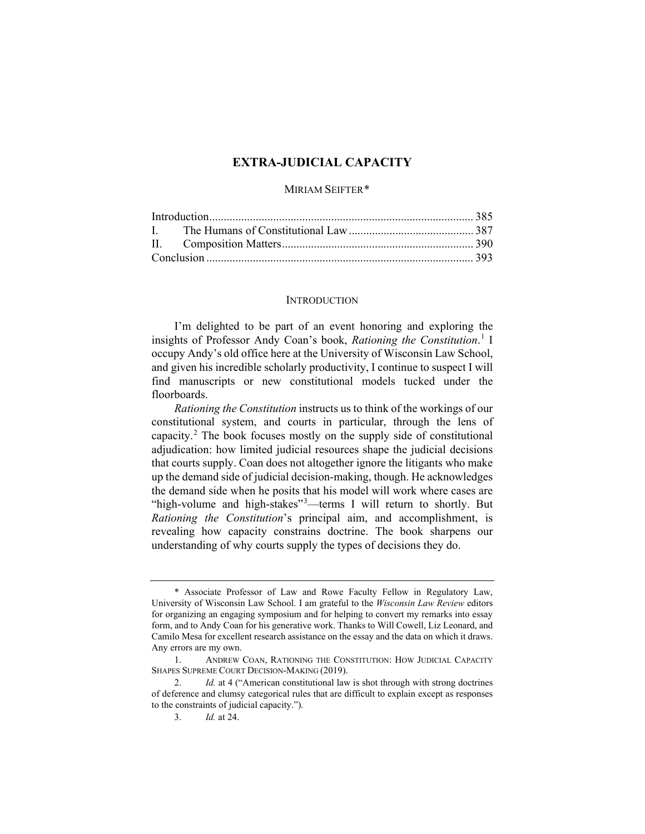# **EXTRA-JUDICIAL CAPACITY**

# MIRIAM SEIFTER[\\*](#page-0-0)

### **INTRODUCTION**

I'm delighted to be part of an event honoring and exploring the insights of Professor Andy Coan's book, *Rationing the Constitution*. [1](#page-0-1) I occupy Andy's old office here at the University of Wisconsin Law School, and given his incredible scholarly productivity, I continue to suspect I will find manuscripts or new constitutional models tucked under the floorboards.

*Rationing the Constitution* instructs us to think of the workings of our constitutional system, and courts in particular, through the lens of capacity.<sup>[2](#page-0-2)</sup> The book focuses mostly on the supply side of constitutional adjudication: how limited judicial resources shape the judicial decisions that courts supply. Coan does not altogether ignore the litigants who make up the demand side of judicial decision-making, though. He acknowledges the demand side when he posits that his model will work where cases are "high-volume and high-stakes"<sup>[3](#page-0-3)</sup>—terms I will return to shortly. But *Rationing the Constitution*'s principal aim, and accomplishment, is revealing how capacity constrains doctrine. The book sharpens our understanding of why courts supply the types of decisions they do.

<span id="page-0-0"></span><sup>\*</sup> Associate Professor of Law and Rowe Faculty Fellow in Regulatory Law, University of Wisconsin Law School. I am grateful to the *Wisconsin Law Review* editors for organizing an engaging symposium and for helping to convert my remarks into essay form, and to Andy Coan for his generative work. Thanks to Will Cowell, Liz Leonard, and Camilo Mesa for excellent research assistance on the essay and the data on which it draws. Any errors are my own.

<span id="page-0-1"></span><sup>1.</sup> ANDREW COAN, RATIONING THE CONSTITUTION: HOW JUDICIAL CAPACITY SHAPES SUPREME COURT DECISION-MAKING (2019).

<span id="page-0-3"></span><span id="page-0-2"></span><sup>2.</sup> *Id.* at 4 ("American constitutional law is shot through with strong doctrines of deference and clumsy categorical rules that are difficult to explain except as responses to the constraints of judicial capacity.").

<sup>3.</sup> *Id.* at 24.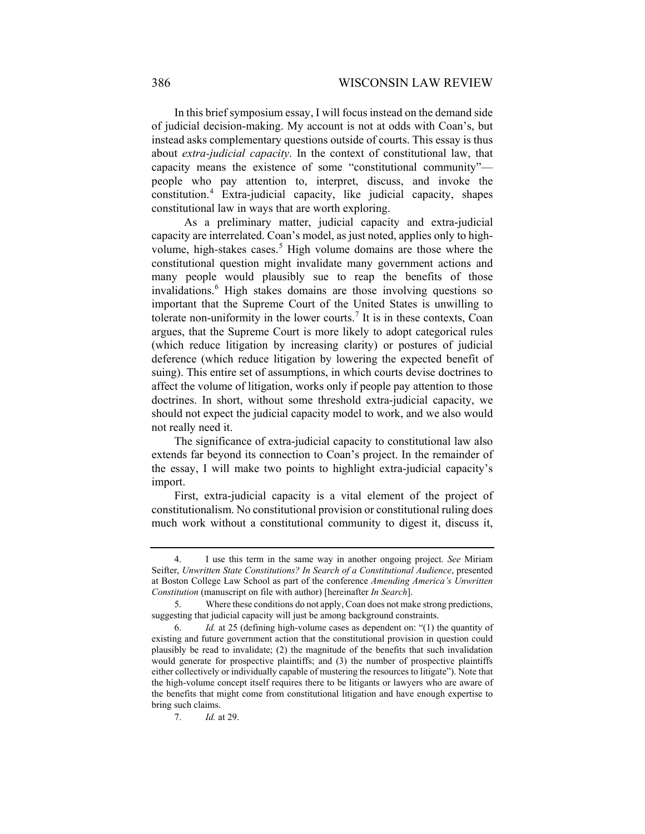In this brief symposium essay, I will focus instead on the demand side of judicial decision-making. My account is not at odds with Coan's, but instead asks complementary questions outside of courts. This essay is thus about *extra-judicial capacity*. In the context of constitutional law, that capacity means the existence of some "constitutional community" people who pay attention to, interpret, discuss, and invoke the constitution.[4](#page-1-0) Extra-judicial capacity, like judicial capacity, shapes constitutional law in ways that are worth exploring.

<span id="page-1-4"></span>As a preliminary matter, judicial capacity and extra-judicial capacity are interrelated. Coan's model, as just noted, applies only to high-volume, high-stakes cases.<sup>[5](#page-1-1)</sup> High volume domains are those where the constitutional question might invalidate many government actions and many people would plausibly sue to reap the benefits of those invalidations.[6](#page-1-2) High stakes domains are those involving questions so important that the Supreme Court of the United States is unwilling to tolerate non-uniformity in the lower courts.<sup>[7](#page-1-3)</sup> It is in these contexts, Coan argues, that the Supreme Court is more likely to adopt categorical rules (which reduce litigation by increasing clarity) or postures of judicial deference (which reduce litigation by lowering the expected benefit of suing). This entire set of assumptions, in which courts devise doctrines to affect the volume of litigation, works only if people pay attention to those doctrines. In short, without some threshold extra-judicial capacity, we should not expect the judicial capacity model to work, and we also would not really need it.

The significance of extra-judicial capacity to constitutional law also extends far beyond its connection to Coan's project. In the remainder of the essay, I will make two points to highlight extra-judicial capacity's import.

First, extra-judicial capacity is a vital element of the project of constitutionalism. No constitutional provision or constitutional ruling does much work without a constitutional community to digest it, discuss it,

<span id="page-1-0"></span><sup>4.</sup> I use this term in the same way in another ongoing project. *See* Miriam Seifter, *Unwritten State Constitutions? In Search of a Constitutional Audience*, presented at Boston College Law School as part of the conference *Amending America's Unwritten Constitution* (manuscript on file with author) [hereinafter *In Search*].

<span id="page-1-1"></span><sup>5.</sup> Where these conditions do not apply, Coan does not make strong predictions, suggesting that judicial capacity will just be among background constraints.

<span id="page-1-2"></span><sup>6.</sup> *Id.* at 25 (defining high-volume cases as dependent on: "(1) the quantity of existing and future government action that the constitutional provision in question could plausibly be read to invalidate; (2) the magnitude of the benefits that such invalidation would generate for prospective plaintiffs; and (3) the number of prospective plaintiffs either collectively or individually capable of mustering the resources to litigate"). Note that the high-volume concept itself requires there to be litigants or lawyers who are aware of the benefits that might come from constitutional litigation and have enough expertise to bring such claims.

<span id="page-1-3"></span><sup>7.</sup> *Id.* at 29.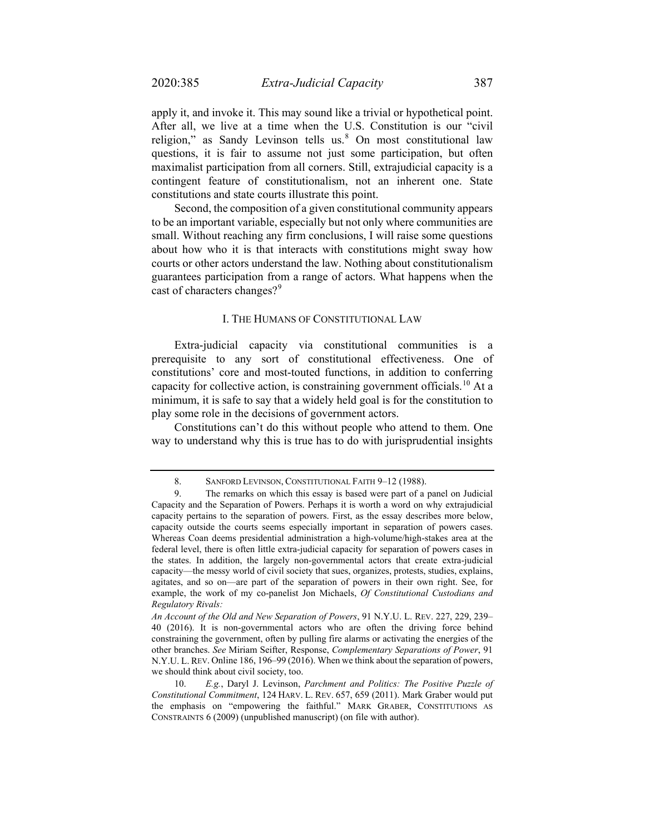apply it, and invoke it. This may sound like a trivial or hypothetical point. After all, we live at a time when the U.S. Constitution is our "civil religion," as Sandy Levinson tells us. $8$  On most constitutional law questions, it is fair to assume not just some participation, but often maximalist participation from all corners. Still, extrajudicial capacity is a contingent feature of constitutionalism, not an inherent one. State constitutions and state courts illustrate this point.

Second, the composition of a given constitutional community appears to be an important variable, especially but not only where communities are small. Without reaching any firm conclusions, I will raise some questions about how who it is that interacts with constitutions might sway how courts or other actors understand the law. Nothing about constitutionalism guarantees participation from a range of actors. What happens when the cast of characters changes?<sup>[9](#page-2-1)</sup>

## I. THE HUMANS OF CONSTITUTIONAL LAW

Extra-judicial capacity via constitutional communities is a prerequisite to any sort of constitutional effectiveness. One of constitutions' core and most-touted functions, in addition to conferring capacity for collective action, is constraining government officials.<sup>[10](#page-2-2)</sup> At a minimum, it is safe to say that a widely held goal is for the constitution to play some role in the decisions of government actors.

Constitutions can't do this without people who attend to them. One way to understand why this is true has to do with jurisprudential insights

<sup>8.</sup> SANFORD LEVINSON, CONSTITUTIONAL FAITH 9-12 (1988).

<span id="page-2-1"></span><span id="page-2-0"></span><sup>9.</sup> The remarks on which this essay is based were part of a panel on Judicial Capacity and the Separation of Powers. Perhaps it is worth a word on why extrajudicial capacity pertains to the separation of powers. First, as the essay describes more below, capacity outside the courts seems especially important in separation of powers cases. Whereas Coan deems presidential administration a high-volume/high-stakes area at the federal level, there is often little extra-judicial capacity for separation of powers cases in the states. In addition, the largely non-governmental actors that create extra-judicial capacity—the messy world of civil society that sues, organizes, protests, studies, explains, agitates, and so on—are part of the separation of powers in their own right. See, for example, the work of my co-panelist Jon Michaels, *Of Constitutional Custodians and Regulatory Rivals:*

*An Account of the Old and New Separation of Powers*, 91 N.Y.U. L. REV. 227, 229, 239– 40 (2016). It is non-governmental actors who are often the driving force behind constraining the government, often by pulling fire alarms or activating the energies of the other branches. *See* Miriam Seifter, Response, *Complementary Separations of Power*, 91 N.Y.U. L. REV. Online 186, 196–99 (2016). When we think about the separation of powers, we should think about civil society, too.

<span id="page-2-2"></span><sup>10.</sup> *E.g.*, Daryl J. Levinson, *Parchment and Politics: The Positive Puzzle of Constitutional Commitment*, 124 HARV. L. REV. 657, 659 (2011). Mark Graber would put the emphasis on "empowering the faithful." MARK GRABER, CONSTITUTIONS AS CONSTRAINTS 6 (2009) (unpublished manuscript) (on file with author).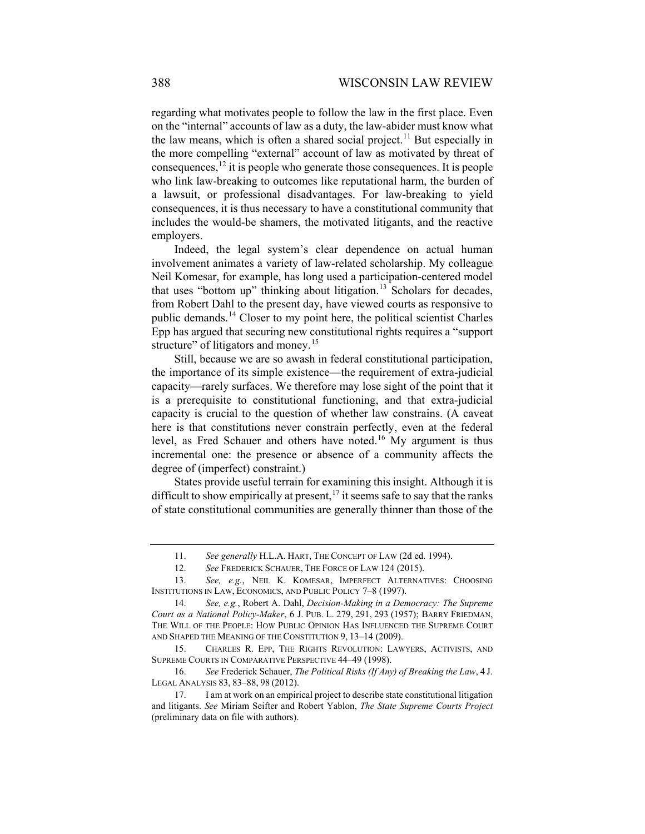regarding what motivates people to follow the law in the first place. Even on the "internal" accounts of law as a duty, the law-abider must know what the law means, which is often a shared social project.<sup>[11](#page-3-0)</sup> But especially in the more compelling "external" account of law as motivated by threat of consequences, $12$  it is people who generate those consequences. It is people who link law-breaking to outcomes like reputational harm, the burden of a lawsuit, or professional disadvantages. For law-breaking to yield consequences, it is thus necessary to have a constitutional community that includes the would-be shamers, the motivated litigants, and the reactive employers.

Indeed, the legal system's clear dependence on actual human involvement animates a variety of law-related scholarship. My colleague Neil Komesar, for example, has long used a participation-centered model that uses "bottom up" thinking about litigation.<sup>[13](#page-3-2)</sup> Scholars for decades, from Robert Dahl to the present day, have viewed courts as responsive to public demands.<sup>[14](#page-3-3)</sup> Closer to my point here, the political scientist Charles Epp has argued that securing new constitutional rights requires a "support structure" of litigators and money.<sup>[15](#page-3-4)</sup>

Still, because we are so awash in federal constitutional participation, the importance of its simple existence—the requirement of extra-judicial capacity—rarely surfaces. We therefore may lose sight of the point that it is a prerequisite to constitutional functioning, and that extra-judicial capacity is crucial to the question of whether law constrains. (A caveat here is that constitutions never constrain perfectly, even at the federal level, as Fred Schauer and others have noted. [16](#page-3-5) My argument is thus incremental one: the presence or absence of a community affects the degree of (imperfect) constraint.)

States provide useful terrain for examining this insight. Although it is difficult to show empirically at present,  $17$  it seems safe to say that the ranks of state constitutional communities are generally thinner than those of the

<span id="page-3-5"></span>16. *See* Frederick Schauer, *The Political Risks (If Any) of Breaking the Law*, 4 J. LEGAL ANALYSIS 83, 83–88, 98 (2012).

<sup>11.</sup> *See generally* H.L.A. HART, THE CONCEPT OF LAW (2d ed. 1994).

<sup>12.</sup> *See* FREDERICK SCHAUER, THE FORCE OF LAW 124 (2015).

<span id="page-3-2"></span><span id="page-3-1"></span><span id="page-3-0"></span><sup>13.</sup> *See, e.g.*, NEIL K. KOMESAR, IMPERFECT ALTERNATIVES: CHOOSING INSTITUTIONS IN LAW, ECONOMICS, AND PUBLIC POLICY 7–8 (1997).

<span id="page-3-3"></span><sup>14.</sup> *See, e.g.*, Robert A. Dahl, *Decision-Making in a Democracy: The Supreme Court as a National Policy-Maker*, 6 J. PUB. L. 279, 291, 293 (1957); BARRY FRIEDMAN, THE WILL OF THE PEOPLE: HOW PUBLIC OPINION HAS INFLUENCED THE SUPREME COURT AND SHAPED THE MEANING OF THE CONSTITUTION 9, 13–14 (2009).

<span id="page-3-4"></span><sup>15.</sup> CHARLES R. EPP, THE RIGHTS REVOLUTION: LAWYERS, ACTIVISTS, AND SUPREME COURTS IN COMPARATIVE PERSPECTIVE 44–49 (1998).

<span id="page-3-6"></span><sup>17.</sup> I am at work on an empirical project to describe state constitutional litigation and litigants. *See* Miriam Seifter and Robert Yablon, *The State Supreme Courts Project* (preliminary data on file with authors).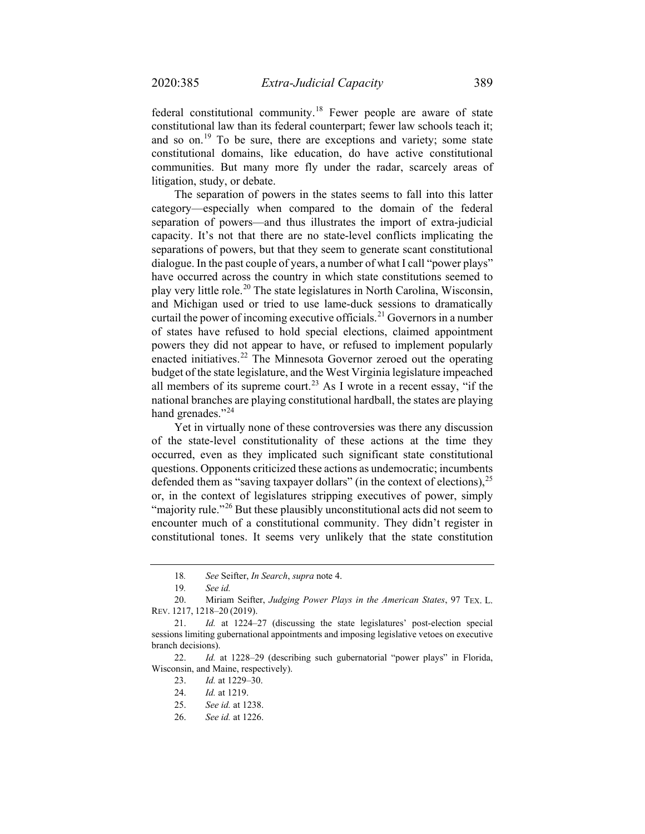federal constitutional community.[18](#page-4-0) Fewer people are aware of state constitutional law than its federal counterpart; fewer law schools teach it; and so on.<sup>[19](#page-4-1)</sup> To be sure, there are exceptions and variety; some state constitutional domains, like education, do have active constitutional communities. But many more fly under the radar, scarcely areas of litigation, study, or debate.

The separation of powers in the states seems to fall into this latter category—especially when compared to the domain of the federal separation of powers—and thus illustrates the import of extra-judicial capacity. It's not that there are no state-level conflicts implicating the separations of powers, but that they seem to generate scant constitutional dialogue. In the past couple of years, a number of what I call "power plays" have occurred across the country in which state constitutions seemed to play very little role.[20](#page-4-2) The state legislatures in North Carolina, Wisconsin, and Michigan used or tried to use lame-duck sessions to dramatically curtail the power of incoming executive officials.<sup>[21](#page-4-3)</sup> Governors in a number of states have refused to hold special elections, claimed appointment powers they did not appear to have, or refused to implement popularly enacted initiatives.<sup>[22](#page-4-4)</sup> The Minnesota Governor zeroed out the operating budget of the state legislature, and the West Virginia legislature impeached all members of its supreme court.<sup>[23](#page-4-5)</sup> As I wrote in a recent essay, "if the national branches are playing constitutional hardball, the states are playing hand grenades."<sup>[24](#page-4-6)</sup>

Yet in virtually none of these controversies was there any discussion of the state-level constitutionality of these actions at the time they occurred, even as they implicated such significant state constitutional questions. Opponents criticized these actions as undemocratic; incumbents defended them as "saving taxpayer dollars" (in the context of elections),  $^{25}$  $^{25}$  $^{25}$ or, in the context of legislatures stripping executives of power, simply "majority rule."<sup>[26](#page-4-8)</sup> But these plausibly unconstitutional acts did not seem to encounter much of a constitutional community. They didn't register in constitutional tones. It seems very unlikely that the state constitution

<sup>18</sup>*. See* Seifter, *In Search*, *supra* note [4.](#page-1-4)

<sup>19</sup>*. See id.*

<span id="page-4-2"></span><span id="page-4-1"></span><span id="page-4-0"></span><sup>20.</sup> Miriam Seifter, *Judging Power Plays in the American States*, 97 TEX. L. REV. 1217, 1218–20 (2019).

<span id="page-4-3"></span><sup>21.</sup> *Id.* at 1224–27 (discussing the state legislatures' post-election special sessions limiting gubernational appointments and imposing legislative vetoes on executive branch decisions).

<span id="page-4-8"></span><span id="page-4-7"></span><span id="page-4-6"></span><span id="page-4-5"></span><span id="page-4-4"></span><sup>22.</sup> *Id.* at 1228–29 (describing such gubernatorial "power plays" in Florida, Wisconsin, and Maine, respectively).

<sup>23.</sup> *Id.* at 1229–30.

<sup>24.</sup> *Id.* at 1219.

<sup>25.</sup> *See id.* at 1238.

<sup>26.</sup> *See id.* at 1226.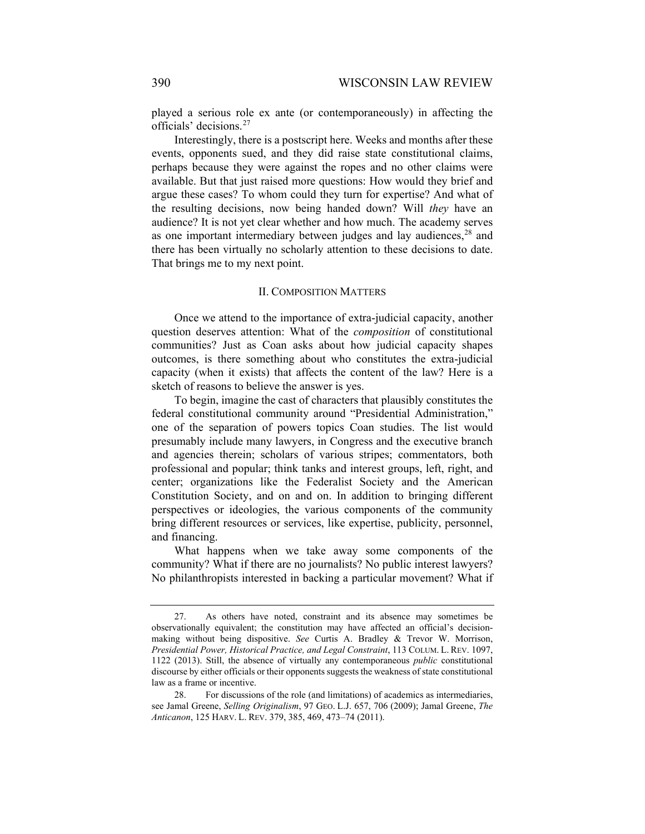played a serious role ex ante (or contemporaneously) in affecting the officials' decisions.[27](#page-5-0)

Interestingly, there is a postscript here. Weeks and months after these events, opponents sued, and they did raise state constitutional claims, perhaps because they were against the ropes and no other claims were available. But that just raised more questions: How would they brief and argue these cases? To whom could they turn for expertise? And what of the resulting decisions, now being handed down? Will *they* have an audience? It is not yet clear whether and how much. The academy serves as one important intermediary between judges and lay audiences, $28$  and there has been virtually no scholarly attention to these decisions to date. That brings me to my next point.

### II. COMPOSITION MATTERS

Once we attend to the importance of extra-judicial capacity, another question deserves attention: What of the *composition* of constitutional communities? Just as Coan asks about how judicial capacity shapes outcomes, is there something about who constitutes the extra-judicial capacity (when it exists) that affects the content of the law? Here is a sketch of reasons to believe the answer is yes.

To begin, imagine the cast of characters that plausibly constitutes the federal constitutional community around "Presidential Administration," one of the separation of powers topics Coan studies. The list would presumably include many lawyers, in Congress and the executive branch and agencies therein; scholars of various stripes; commentators, both professional and popular; think tanks and interest groups, left, right, and center; organizations like the Federalist Society and the American Constitution Society, and on and on. In addition to bringing different perspectives or ideologies, the various components of the community bring different resources or services, like expertise, publicity, personnel, and financing.

What happens when we take away some components of the community? What if there are no journalists? No public interest lawyers? No philanthropists interested in backing a particular movement? What if

<span id="page-5-0"></span><sup>27.</sup> As others have noted, constraint and its absence may sometimes be observationally equivalent; the constitution may have affected an official's decisionmaking without being dispositive. *See* Curtis A. Bradley & Trevor W. Morrison, *Presidential Power, Historical Practice, and Legal Constraint*, 113 COLUM. L. REV. 1097, 1122 (2013). Still, the absence of virtually any contemporaneous *public* constitutional discourse by either officials or their opponents suggests the weakness of state constitutional law as a frame or incentive.

<span id="page-5-1"></span><sup>28.</sup> For discussions of the role (and limitations) of academics as intermediaries, see Jamal Greene, *Selling Originalism*, 97 GEO. L.J. 657, 706 (2009); Jamal Greene, *The Anticanon*, 125 HARV. L. REV. 379, 385, 469, 473–74 (2011).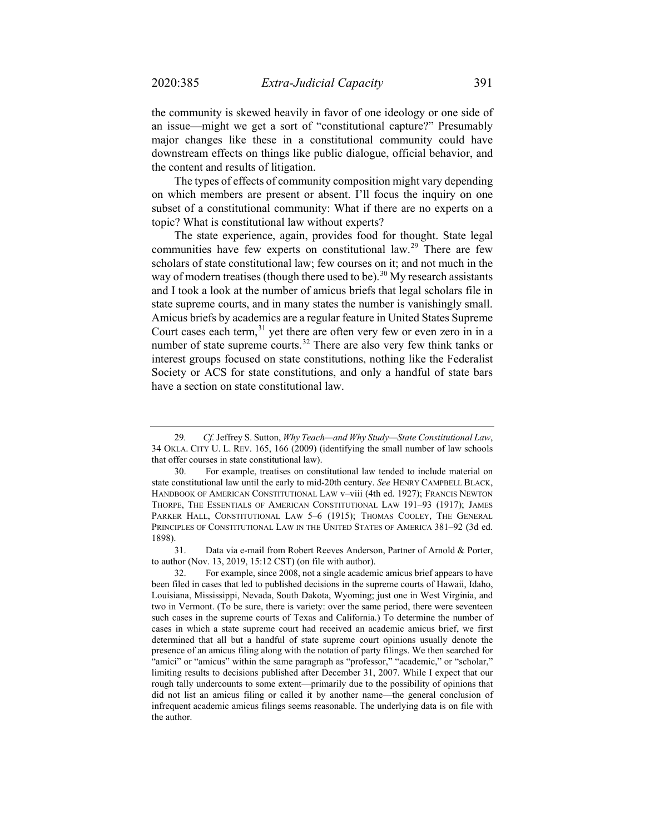the community is skewed heavily in favor of one ideology or one side of an issue—might we get a sort of "constitutional capture?" Presumably major changes like these in a constitutional community could have downstream effects on things like public dialogue, official behavior, and the content and results of litigation.

The types of effects of community composition might vary depending on which members are present or absent. I'll focus the inquiry on one subset of a constitutional community: What if there are no experts on a topic? What is constitutional law without experts?

The state experience, again, provides food for thought. State legal communities have few experts on constitutional law.<sup>[29](#page-6-0)</sup> There are few scholars of state constitutional law; few courses on it; and not much in the way of modern treatises (though there used to be).<sup>[30](#page-6-1)</sup> My research assistants and I took a look at the number of amicus briefs that legal scholars file in state supreme courts, and in many states the number is vanishingly small. Amicus briefs by academics are a regular feature in United States Supreme Court cases each term, [31](#page-6-2) yet there are often very few or even zero in in a number of state supreme courts.<sup>[32](#page-6-3)</sup> There are also very few think tanks or interest groups focused on state constitutions, nothing like the Federalist Society or ACS for state constitutions, and only a handful of state bars have a section on state constitutional law.

<span id="page-6-2"></span>31. Data via e-mail from Robert Reeves Anderson, Partner of Arnold & Porter, to author (Nov. 13, 2019, 15:12 CST) (on file with author).

<span id="page-6-0"></span><sup>29</sup>*. Cf.* Jeffrey S. Sutton, *Why Teach—and Why Study—State Constitutional Law*, 34 OKLA. CITY U. L. REV. 165, 166 (2009) (identifying the small number of law schools that offer courses in state constitutional law).

<span id="page-6-1"></span><sup>30.</sup> For example, treatises on constitutional law tended to include material on state constitutional law until the early to mid-20th century. *See* HENRY CAMPBELL BLACK, HANDBOOK OF AMERICAN CONSTITUTIONAL LAW v–viii (4th ed. 1927); FRANCIS NEWTON THORPE, THE ESSENTIALS OF AMERICAN CONSTITUTIONAL LAW 191–93 (1917); JAMES PARKER HALL, CONSTITUTIONAL LAW 5–6 (1915); THOMAS COOLEY, THE GENERAL PRINCIPLES OF CONSTITUTIONAL LAW IN THE UNITED STATES OF AMERICA 381–92 (3d ed. 1898).

<span id="page-6-3"></span><sup>32.</sup> For example, since 2008, not a single academic amicus brief appears to have been filed in cases that led to published decisions in the supreme courts of Hawaii, Idaho, Louisiana, Mississippi, Nevada, South Dakota, Wyoming; just one in West Virginia, and two in Vermont. (To be sure, there is variety: over the same period, there were seventeen such cases in the supreme courts of Texas and California.) To determine the number of cases in which a state supreme court had received an academic amicus brief, we first determined that all but a handful of state supreme court opinions usually denote the presence of an amicus filing along with the notation of party filings. We then searched for "amici" or "amicus" within the same paragraph as "professor," "academic," or "scholar," limiting results to decisions published after December 31, 2007. While I expect that our rough tally undercounts to some extent—primarily due to the possibility of opinions that did not list an amicus filing or called it by another name—the general conclusion of infrequent academic amicus filings seems reasonable. The underlying data is on file with the author.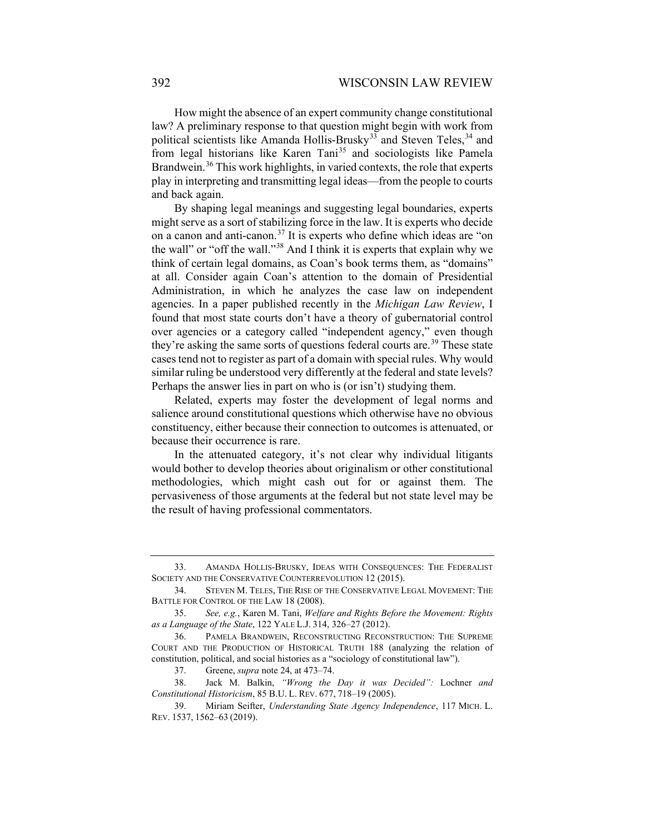How might the absence of an expert community change constitutional law? A preliminary response to that question might begin with work from political scientists like Amanda Hollis-Brusky<sup>[33](#page-7-0)</sup> and Steven Teles,<sup>[34](#page-7-1)</sup> and from legal historians like Karen Tani[35](#page-7-2) and sociologists like Pamela Brandwein.<sup>[36](#page-7-3)</sup> This work highlights, in varied contexts, the role that experts play in interpreting and transmitting legal ideas—from the people to courts and back again.

By shaping legal meanings and suggesting legal boundaries, experts might serve as a sort of stabilizing force in the law. It is experts who decide on a canon and anti-canon.[37](#page-7-4) It is experts who define which ideas are "on the wall" or "off the wall."<sup>[38](#page-7-5)</sup> And I think it is experts that explain why we think of certain legal domains, as Coan's book terms them, as "domains" at all. Consider again Coan's attention to the domain of Presidential Administration, in which he analyzes the case law on independent agencies. In a paper published recently in the *Michigan Law Review*, I found that most state courts don't have a theory of gubernatorial control over agencies or a category called "independent agency," even though they're asking the same sorts of questions federal courts are.<sup>[39](#page-7-6)</sup> These state cases tend not to register as part of a domain with special rules. Why would similar ruling be understood very differently at the federal and state levels? Perhaps the answer lies in part on who is (or isn't) studying them.

Related, experts may foster the development of legal norms and salience around constitutional questions which otherwise have no obvious constituency, either because their connection to outcomes is attenuated, or because their occurrence is rare.

In the attenuated category, it's not clear why individual litigants would bother to develop theories about originalism or other constitutional methodologies, which might cash out for or against them. The pervasiveness of those arguments at the federal but not state level may be the result of having professional commentators.

<span id="page-7-0"></span><sup>33.</sup> AMANDA HOLLIS-BRUSKY, IDEAS WITH CONSEQUENCES: THE FEDERALIST SOCIETY AND THE CONSERVATIVE COUNTERREVOLUTION 12 (2015).

<span id="page-7-1"></span><sup>34.</sup> STEVEN M. TELES, THE RISE OF THE CONSERVATIVE LEGAL MOVEMENT: THE BATTLE FOR CONTROL OF THE LAW 18 (2008).

<span id="page-7-2"></span><sup>35.</sup> *See, e.g.*, Karen M. Tani, *Welfare and Rights Before the Movement: Rights as a Language of the State*, 122 YALE L.J. 314, 326–27 (2012).

<span id="page-7-3"></span><sup>36.</sup> PAMELA BRANDWEIN, RECONSTRUCTING RECONSTRUCTION: THE SUPREME COURT AND THE PRODUCTION OF HISTORICAL TRUTH 188 (analyzing the relation of constitution, political, and social histories as a "sociology of constitutional law").

<sup>37.</sup> Greene, *supra* note 24, at 473–74.

<span id="page-7-5"></span><span id="page-7-4"></span><sup>38.</sup> Jack M. Balkin, *"Wrong the Day it was Decided":* Lochner *and Constitutional Historicism*, 85 B.U. L. REV. 677, 718–19 (2005).

<span id="page-7-6"></span><sup>39.</sup> Miriam Seifter, *Understanding State Agency Independence*, 117 MICH. L. REV. 1537, 1562–63 (2019).